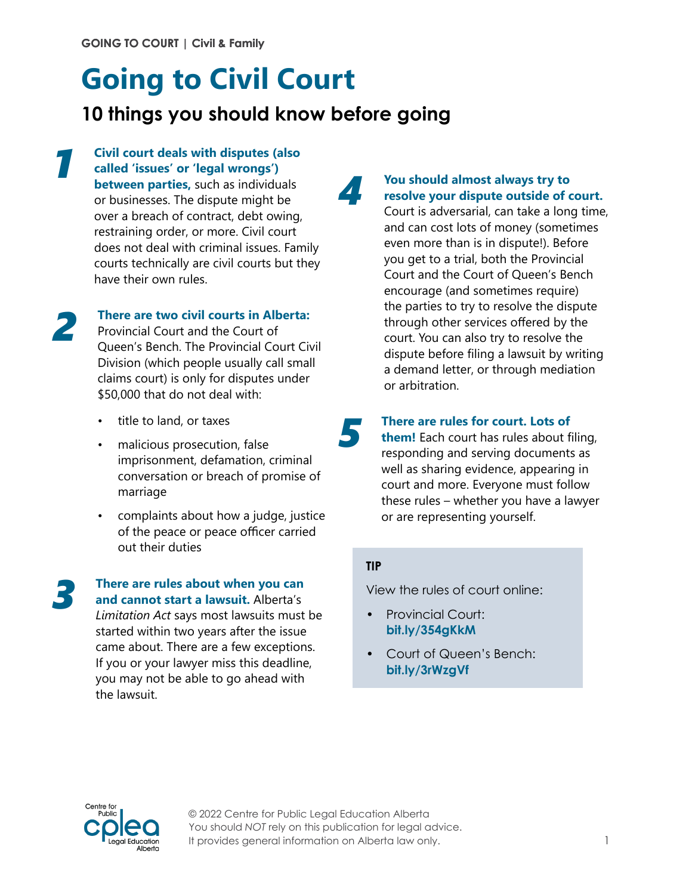# **Going to Civil Court**

## **10 things you should know before going**

## **Civil court deals with disputes (also called 'issues' or 'legal wrongs')**

**between parties,** such as individuals or businesses. The dispute might be over a breach of contract, debt owing, restraining order, or more. Civil court does not deal with criminal issues. Family courts technically are civil courts but they have their own rules.



*1*

#### **There are two civil courts in Alberta:**

Provincial Court and the Court of Queen's Bench. The Provincial Court Civil Division (which people usually call small claims court) is only for disputes under \$50,000 that do not deal with:

- title to land, or taxes
- malicious prosecution, false imprisonment, defamation, criminal conversation or breach of promise of marriage
- complaints about how a judge, justice of the peace or peace officer carried out their duties

*3*

#### **There are rules about when you can and cannot start a lawsuit.** Alberta's

*Limitation Act* says most lawsuits must be started within two years after the issue came about. There are a few exceptions. If you or your lawyer miss this deadline, you may not be able to go ahead with the lawsuit.

### **You should almost always try to resolve your dispute outside of court.**

Court is adversarial, can take a long time, and can cost lots of money (sometimes even more than is in dispute!). Before you get to a trial, both the Provincial Court and the Court of Queen's Bench encourage (and sometimes require) the parties to try to resolve the dispute through other services offered by the court. You can also try to resolve the dispute before filing a lawsuit by writing a demand letter, or through mediation or arbitration.

**There are rules for court. Lots of** 

**them!** Each court has rules about filing, responding and serving documents as well as sharing evidence, appearing in court and more. Everyone must follow these rules – whether you have a lawyer or are representing yourself.

#### **TIP**

*5*

*4*

View the rules of court online:

- Provincial Court: **[bit.ly/354gKkM](http://bit.ly/354gKkM)**
- Court of Queen's Bench: **[bit.ly/3rWzgVf](http://bit.ly/3rWzgVf)**



© 2022 Centre for Public Legal Education Alberta You should *NOT* rely on this publication for legal advice. It provides general information on Alberta law only.